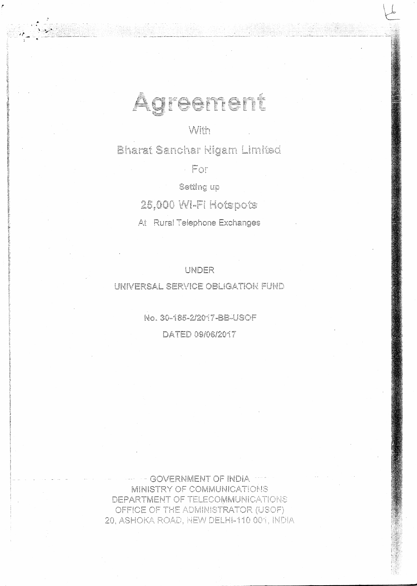# Agreement

# With

Bharat Sanchar Nigam Limited

 $-$  For

Setting up

25,000 WI-FI Hotspots

At Rural Telephone Exchanges

## UNDER

UNIVERSAL SERVICE OBLIGATION FUND

No. 30-185-2/2017-BB-USOF

**DATED 09/06/2017** 

**GOVERNMENT OF INDIA** MINISTRY OF COMMUNICATIONS DEPARTMENT OF TELECOMMUNICATIONS OFFICE OF THE ADMINISTRATOR (USOF) 20, ASHOKA ROAD, NEW DELHI-110 001, INDIA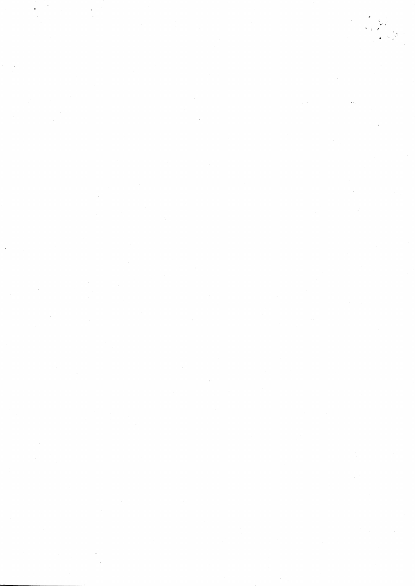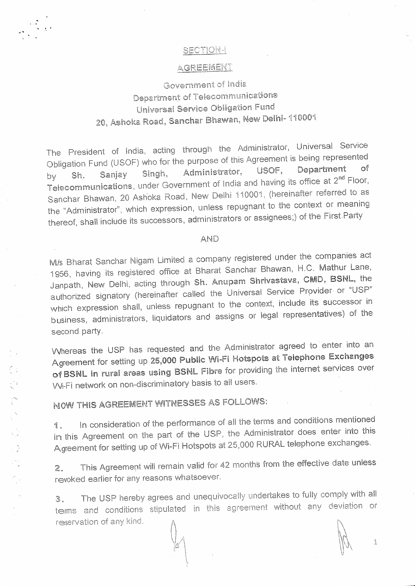### SECTION-

#### AGREEMENT

## Government of India Department of Telecommunications Universal Service Obligation Fund 20, Ashoka Road, Sanchar Bhawan, New Delhi-110001

The President of India, acting through the Administrator, Universal Service Obligation Fund (USOF) who for the purpose of this Agreement is being represented Department οf Administrator, USOF, Singh, Sanjay Sh. by Telecommunications, under Government of India and having its office at 2<sup>nd</sup> Floor, Sanchar Bhawan, 20 Ashoka Road, New Delhi 110001, (hereinafter referred to as the "Administrator", which expression, unless repugnant to the context or meaning thereof, shall include its successors, administrators or assignees;) of the First Party

#### **AND**

M/s Bharat Sanchar Nigam Limited a company registered under the companies act 1956, having its registered office at Bharat Sanchar Bhawan, H.C. Mathur Lane, Janpath, New Delhi, acting through Sh. Anupam Shrivastava, CMD, BSNL, the authorized signatory (hereinafter called the Universal Service Provider or "USP" which expression shall, unless repugnant to the context, include its successor in business, administrators, liquidators and assigns or legal representatives) of the second party.

Whereas the USP has requested and the Administrator agreed to enter into an Agreement for setting up 25,000 Public Wi-Fi Hotspots at Telephone Exchanges of BSNL in rural areas using BSNL Fibre for providing the internet services over Wi-Fi network on non-discriminatory basis to all users.

NOW THIS AGREEMENT WITNESSES AS FOLLOWS:

 $\frac{1}{2}$ 

In consideration of the performance of all the terms and conditions mentioned 1. in this Agreement on the part of the USP, the Administrator does enter into this Agreement for setting up of Wi-Fi Hotspots at 25,000 RURAL telephone exchanges.

This Agreement will remain valid for 42 months from the effective date unless  $\mathbf{2}$ . revoked earlier for any reasons whatsoever.

The USP hereby agrees and unequivocally undertakes to fully comply with all 3. terms and conditions stipulated in this agreement without any deviation or reservation of any kind.

 $\mathbf 1$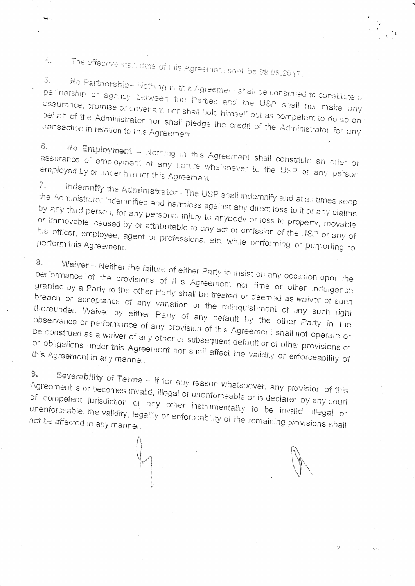The effective start date of this Agreement shall be 09.06.2017.

á,

6.

7.

 $8.$ 

g.

No Partnership- Nothing in this Agreement shall be construed to constitute a E. partnership or agency between the Parties and the USP shall not make any assurance, promise or covenant nor shall hold himself out as competent to do so on behalf of the Administrator nor shall pledge the credit of the Administrator for any transaction in relation to this Agreement.

No Employment  $\div$  Nothing in this Agreement shall constitute an offer or assurance of employment of any nature whatsoever to the USP or any person employed by or under him for this Agreement.

Indemnify the Administrator- The USP shall indemnify and at all times keep the Administrator indemnified and harmless against any direct loss to it or any claims by any third person, for any personal injury to anybody or loss to property, movable or immovable, caused by or attributable to any act or omission of the USP or any of his officer, employee, agent or professional etc. while performing or purporting to perform this Agreement.

Waiver - Neither the failure of either Party to insist on any occasion upon the performance of the provisions of this Agreement nor time or other indulgence granted by a Party to the other Party shall be treated or deemed as waiver of such breach or acceptance of any variation or the relinquishment of any such right thereunder. Waiver by either Party of any default by the other Party in the observance or performance of any provision of this Agreement shall not operate or be construed as a waiver of any other or subsequent default or of other provisions of or obligations under this Agreement nor shall affect the validity or enforceability of this Agreement in any manner:

Severability of Terms - If for any reason whatsoever, any provision of this Agreement is or becomes invalid, illegal or unenforceable or is declared by any court of competent jurisdiction or any other instrumentality to be invalid, illegal or unenforceable, the validity, legality or enforceability of the remaining provisions shall

 $\overline{2}$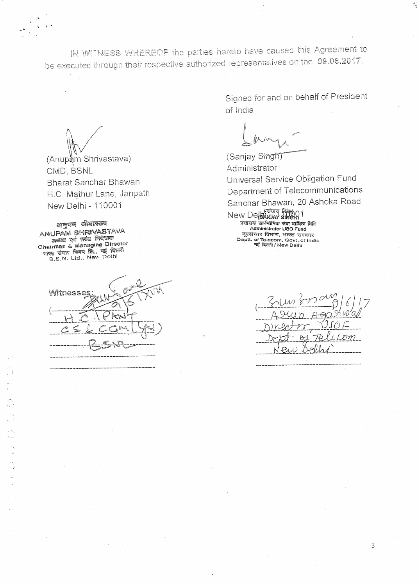IN WITHESS WHEREOF the parties hereto have caused this Agreement to be executed through their respective authorized representatives on the 09.06.2017.

(Anupam Shrivastava) CMD, BSNL **Bharat Sanchar Bhawan** H.C. Mathur Lane, Janpath New Delhi - 110001

अनूक्ब श्रीवास्तव ANUPAM SHRIVASTAVA अव्यक्ष एवं प्रबंध निकेशक Chairman & Managing Director <sub>भारत</sub> संघार दिया है । यह दिल्ली<br>मारत संघार दिया है , यई दिल्ली<br>B.S.N. Ltd., New Delhi

Witnesse

Signed for and on behalf of President of India

(Sanjay Singh) Administrator Universal Service Obligation Fund Department of Telecommunications Sanchar Bhawan, 20 Ashoka Road New Delsinvar Ring 01

प्रशासक सार्वभौमिक सेवा दाधित्व विदि Administrator USO Fund दूरसंचार विभाग, भारत सरकार Copt. of Telecom, Govt, of India<br>Dopt. of Telecom, Govt, of India<br>नई दिल्ली / New Delhi

3